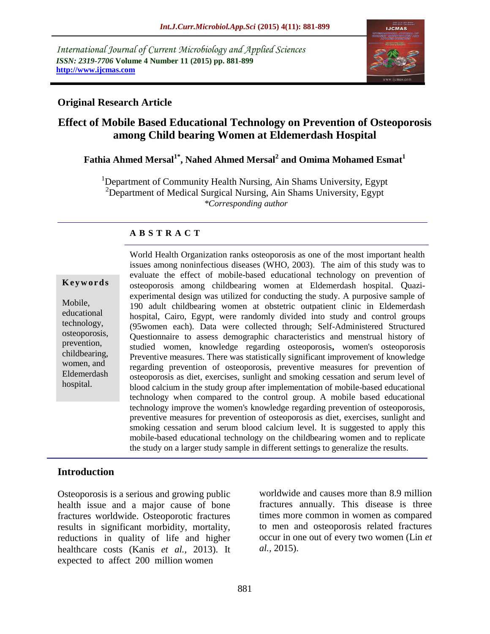*International Journal of Current Microbiology and Applied Sciences ISSN: 2319-7706* **Volume 4 Number 11 (2015) pp. 881-899 http://www.ijcmas.com**



### **Original Research Article**

# **Effect of Mobile Based Educational Technology on Prevention of Osteoporosis among Child bearing Women at Eldemerdash Hospital**

# **Fathia Ahmed Mersal1\* , Nahed Ahmed Mersal<sup>2</sup> and Omima Mohamed Esmat<sup>1</sup>**

<sup>1</sup>Department of Community Health Nursing, Ain Shams University, Egypt  $2$ Department of Medical Surgical Nursing, Ain Shams University, Egypt *\*Corresponding author*

### **A B S T R A C T**

#### **K e y w o r d s**

Mobile, educational technology, osteoporosis, prevention, childbearing, women, and Eldemerdash hospital.

World Health Organization ranks osteoporosis as one of the most important health issues among noninfectious diseases (WHO, 2003). The aim of this study was to evaluate the effect of mobile-based educational technology on prevention of osteoporosis among childbearing women at Eldemerdash hospital. Quaziexperimental design was utilized for conducting the study. A purposive sample of 190 adult childbearing women at obstetric outpatient clinic in Eldemerdash hospital, Cairo, Egypt, were randomly divided into study and control groups (95women each). Data were collected through; Self-Administered Structured Questionnaire to assess demographic characteristics and menstrual history of studied women, knowledge regarding osteoporosis**,** women's osteoporosis Preventive measures. There was statistically significant improvement of knowledge regarding prevention of osteoporosis, preventive measures for prevention of osteoporosis as diet, exercises, sunlight and smoking cessation and serum level of blood calcium in the study group after implementation of mobile-based educational technology when compared to the control group. A mobile based educational technology improve the women's knowledge regarding prevention of osteoporosis, preventive measures for prevention of osteoporosis as diet, exercises, sunlight and smoking cessation and serum blood calcium level. It is suggested to apply this mobile-based educational technology on the childbearing women and to replicate the study on a larger study sample in different settings to generalize the results.

### **Introduction**

Osteoporosis is a serious and growing public health issue and a major cause of bone fractures worldwide. Osteoporotic fractures results in significant morbidity, mortality, reductions in quality of life and higher healthcare costs (Kanis *et al.,* 2013). It expected to affect 200 million women

worldwide and causes more than 8.9 million fractures annually. This disease is three times more common in women as compared to men and osteoporosis related fractures occur in one out of every two women (Lin *et al.,* 2015).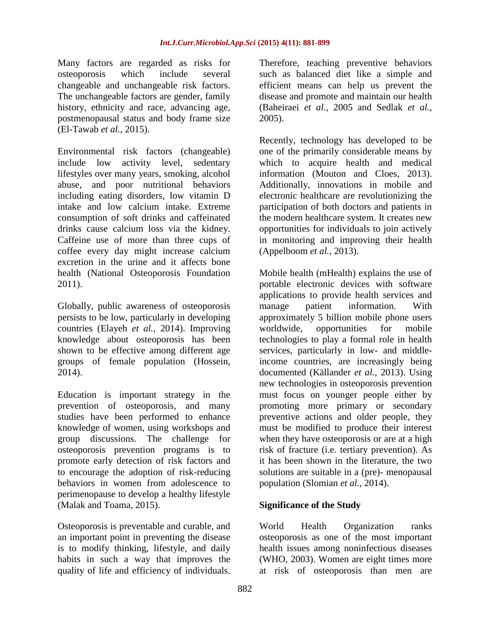Many factors are regarded as risks for osteoporosis which include several changeable and unchangeable risk factors. The unchangeable factors are gender, family history, ethnicity and race, advancing age, postmenopausal status and body frame size (El-Tawab *et al.,* 2015).

Environmental risk factors (changeable) include low activity level, sedentary lifestyles over many years, smoking, alcohol abuse, and poor nutritional behaviors including eating disorders, low vitamin D intake and low calcium intake. Extreme consumption of soft drinks and caffeinated drinks cause calcium loss via the kidney. Caffeine use of more than three cups of coffee every day might increase calcium excretion in the urine and it affects bone health (National Osteoporosis Foundation 2011).

Globally, public awareness of osteoporosis persists to be low, particularly in developing countries (Elayeh *et al.,* 2014). Improving knowledge about osteoporosis has been shown to be effective among different age groups of female population (Hossein, 2014).

Education is important strategy in the prevention of osteoporosis, and many studies have been performed to enhance knowledge of women, using workshops and group discussions. The challenge for osteoporosis prevention programs is to promote early detection of risk factors and to encourage the adoption of risk-reducing behaviors in women from adolescence to perimenopause to develop a healthy lifestyle (Malak and Toama, 2015).

Osteoporosis is preventable and curable, and an important point in preventing the disease is to modify thinking, lifestyle, and daily habits in such a way that improves the quality of life and efficiency of individuals.

Therefore, teaching preventive behaviors such as balanced diet like a simple and efficient means can help us prevent the disease and promote and maintain our health (Baheiraei *et al.,* 2005 and Sedlak *et al.,* 2005).

Recently, technology has developed to be one of the primarily considerable means by which to acquire health and medical information (Mouton and Cloes, 2013). Additionally, innovations in mobile and electronic healthcare are revolutionizing the participation of both doctors and patients in the modern healthcare system. It creates new opportunities for individuals to join actively in monitoring and improving their health (Appelboom *et al.,* 2013).

Mobile health (mHealth) explains the use of portable electronic devices with software applications to provide health services and manage patient information. With approximately 5 billion mobile phone users worldwide, opportunities for mobile technologies to play a formal role in health services, particularly in low- and middleincome countries, are increasingly being documented (Källander *et al.,* 2013). Using new technologies in osteoporosis prevention must focus on younger people either by promoting more primary or secondary preventive actions and older people, they must be modified to produce their interest when they have osteoporosis or are at a high risk of fracture (i.e. tertiary prevention). As it has been shown in the literature, the two solutions are suitable in a (pre)- menopausal population (Slomian *et al.,* 2014).

### **Significance of the Study**

World Health Organization ranks osteoporosis as one of the most important health issues among noninfectious diseases (WHO, 2003). Women are eight times more at risk of osteoporosis than men are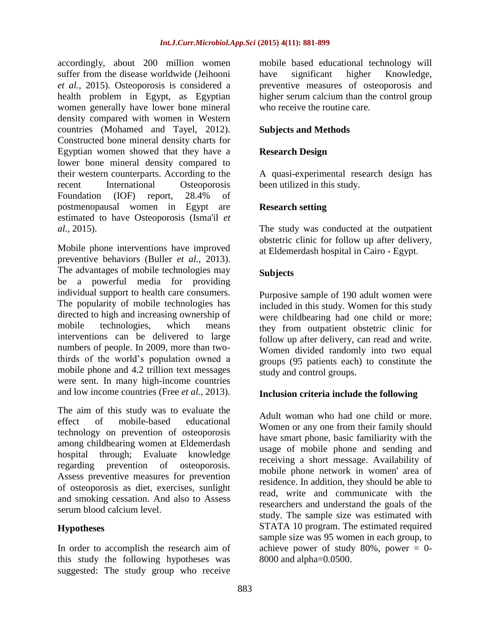accordingly, about 200 million women suffer from the disease worldwide (Jeihooni *et al.,* 2015). Osteoporosis is considered a health problem in Egypt, as Egyptian women generally have lower bone mineral density compared with women in Western countries (Mohamed and Tayel, 2012). Constructed bone mineral density charts for Egyptian women showed that they have a lower bone mineral density compared to their western counterparts. According to the recent International Osteoporosis Foundation (IOF) report, 28.4% of postmenopausal women in Egypt are estimated to have Osteoporosis (Isma'il *et al.,* 2015).

Mobile phone interventions have improved preventive behaviors (Buller *et al.,* 2013). The advantages of mobile technologies may be a powerful media for providing individual support to health care consumers. The popularity of mobile technologies has directed to high and increasing ownership of mobile technologies, which means interventions can be delivered to large numbers of people. In 2009, more than twothirds of the world's population owned a mobile phone and 4.2 trillion text messages were sent. In many high-income countries and low income countries (Free *et al.,* 2013).

The aim of this study was to evaluate the effect of mobile-based educational technology on prevention of osteoporosis among childbearing women at Eldemerdash hospital through; Evaluate knowledge regarding prevention of osteoporosis. Assess preventive measures for prevention of osteoporosis as diet, exercises, sunlight and smoking cessation. And also to Assess serum blood calcium level.

## **Hypotheses**

In order to accomplish the research aim of this study the following hypotheses was suggested: The study group who receive

mobile based educational technology will have significant higher Knowledge, preventive measures of osteoporosis and higher serum calcium than the control group who receive the routine care.

## **Subjects and Methods**

### **Research Design**

A quasi-experimental research design has been utilized in this study.

### **Research setting**

The study was conducted at the outpatient obstetric clinic for follow up after delivery, at Eldemerdash hospital in Cairo - Egypt.

## **Subjects**

Purposive sample of 190 adult women were included in this study. Women for this study were childbearing had one child or more; they from outpatient obstetric clinic for follow up after delivery, can read and write. Women divided randomly into two equal groups (95 patients each) to constitute the study and control groups.

### **Inclusion criteria include the following**

Adult woman who had one child or more. Women or any one from their family should have smart phone, basic familiarity with the usage of mobile phone and sending and receiving a short message. Availability of mobile phone network in women' area of residence. In addition, they should be able to read, write and communicate with the researchers and understand the goals of the study. The sample size was estimated with STATA 10 program. The estimated required sample size was 95 women in each group, to achieve power of study 80%, power  $= 0$ -8000 and alpha=0.0500.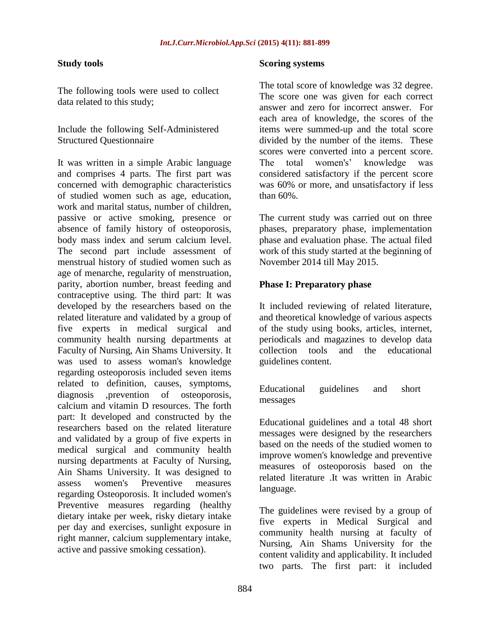#### **Study tools**

The following tools were used to collect data related to this study;

Include the following Self-Administered Structured Questionnaire

It was written in a simple Arabic language and comprises 4 parts. The first part was concerned with demographic characteristics of studied women such as age, education, work and marital status, number of children, passive or active smoking, presence or absence of family history of osteoporosis, body mass index and serum calcium level. The second part include assessment of menstrual history of studied women such as age of menarche, regularity of menstruation, parity, abortion number, breast feeding and contraceptive using. The third part: It was developed by the researchers based on the related literature and validated by a group of five experts in medical surgical and community health nursing departments at Faculty of Nursing, Ain Shams University. It was used to assess woman's knowledge regarding osteoporosis included seven items related to definition, causes, symptoms, diagnosis ,prevention of osteoporosis, calcium and vitamin D resources. The forth part: It developed and constructed by the researchers based on the related literature and validated by a group of five experts in medical surgical and community health nursing departments at Faculty of Nursing, Ain Shams University. It was designed to assess women's Preventive measures regarding Osteoporosis. It included women's Preventive measures regarding (healthy dietary intake per week, risky dietary intake per day and exercises, sunlight exposure in right manner, calcium supplementary intake, active and passive smoking cessation).

#### **Scoring systems**

The total score of knowledge was 32 degree. The score one was given for each correct answer and zero for incorrect answer. For each area of knowledge, the scores of the items were summed-up and the total score divided by the number of the items. These scores were converted into a percent score. The total women's' knowledge was considered satisfactory if the percent score was 60% or more, and unsatisfactory if less than 60%.

The current study was carried out on three phases, preparatory phase, implementation phase and evaluation phase. The actual filed work of this study started at the beginning of November 2014 till May 2015.

#### **Phase I: Preparatory phase**

It included reviewing of related literature, and theoretical knowledge of various aspects of the study using books, articles, internet, periodicals and magazines to develop data collection tools and the educational guidelines content.

Educational guidelines and short messages

Educational guidelines and a total 48 short messages were designed by the researchers based on the needs of the studied women to improve women's knowledge and preventive measures of osteoporosis based on the related literature .It was written in Arabic language.

The guidelines were revised by a group of five experts in Medical Surgical and community health nursing at faculty of Nursing, Ain Shams University for the content validity and applicability. It included two parts. The first part: it included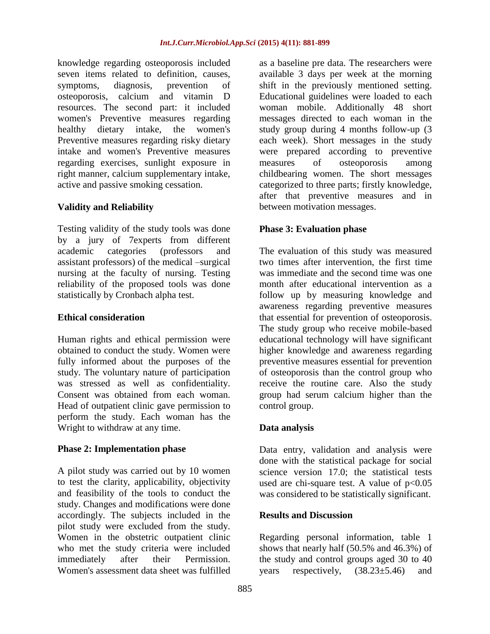knowledge regarding osteoporosis included seven items related to definition, causes, symptoms, diagnosis, prevention of osteoporosis, calcium and vitamin D resources. The second part: it included women's Preventive measures regarding healthy dietary intake, the women's Preventive measures regarding risky dietary intake and women's Preventive measures regarding exercises, sunlight exposure in right manner, calcium supplementary intake, active and passive smoking cessation.

### **Validity and Reliability**

Testing validity of the study tools was done by a jury of 7experts from different academic categories (professors and assistant professors) of the medical –surgical nursing at the faculty of nursing. Testing reliability of the proposed tools was done statistically by Cronbach alpha test.

### **Ethical consideration**

Human rights and ethical permission were obtained to conduct the study. Women were fully informed about the purposes of the study. The voluntary nature of participation was stressed as well as confidentiality. Consent was obtained from each woman. Head of outpatient clinic gave permission to perform the study. Each woman has the Wright to withdraw at any time.

### **Phase 2: Implementation phase**

A pilot study was carried out by 10 women to test the clarity, applicability, objectivity and feasibility of the tools to conduct the study. Changes and modifications were done accordingly. The subjects included in the pilot study were excluded from the study. Women in the obstetric outpatient clinic who met the study criteria were included immediately after their Permission. Women's assessment data sheet was fulfilled

as a baseline pre data. The researchers were available 3 days per week at the morning shift in the previously mentioned setting. Educational guidelines were loaded to each woman mobile. Additionally 48 short messages directed to each woman in the study group during 4 months follow-up (3 each week). Short messages in the study were prepared according to preventive measures of osteoporosis among childbearing women. The short messages categorized to three parts; firstly knowledge, after that preventive measures and in between motivation messages.

### **Phase 3: Evaluation phase**

The evaluation of this study was measured two times after intervention, the first time was immediate and the second time was one month after educational intervention as a follow up by measuring knowledge and awareness regarding preventive measures that essential for prevention of osteoporosis. The study group who receive mobile-based educational technology will have significant higher knowledge and awareness regarding preventive measures essential for prevention of osteoporosis than the control group who receive the routine care. Also the study group had serum calcium higher than the control group.

### **Data analysis**

Data entry, validation and analysis were done with the statistical package for social science version 17.0; the statistical tests used are chi-square test. A value of  $p<0.05$ was considered to be statistically significant.

### **Results and Discussion**

Regarding personal information, table 1 shows that nearly half (50.5% and 46.3%) of the study and control groups aged 30 to 40 years respectively,  $(38.23 \pm 5.46)$  and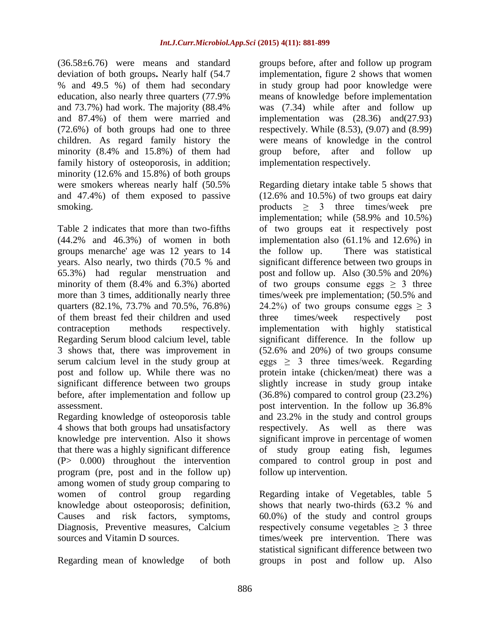(36.58±6.76) were means and standard deviation of both groups**.** Nearly half (54.7 % and 49.5 %) of them had secondary education, also nearly three quarters (77.9% and 73.7%) had work. The majority (88.4% and 87.4%) of them were married and (72.6%) of both groups had one to three children. As regard family history the minority (8.4% and 15.8%) of them had family history of osteoporosis, in addition; minority (12.6% and 15.8%) of both groups were smokers whereas nearly half (50.5% and 47.4%) of them exposed to passive smoking.

Table 2 indicates that more than two-fifths (44.2% and 46.3%) of women in both groups menarche' age was 12 years to 14 years. Also nearly, two thirds (70.5 % and 65.3%) had regular menstruation and minority of them (8.4% and 6.3%) aborted more than 3 times, additionally nearly three quarters (82.1%, 73.7% and 70.5%, 76.8%) of them breast fed their children and used contraception methods respectively. Regarding Serum blood calcium level, table 3 shows that, there was improvement in serum calcium level in the study group at post and follow up. While there was no significant difference between two groups before, after implementation and follow up assessment.

Regarding knowledge of osteoporosis table 4 shows that both groups had unsatisfactory knowledge pre intervention. Also it shows that there was a highly significant difference (P> 0.000) throughout the intervention program (pre, post and in the follow up) among women of study group comparing to women of control group regarding knowledge about osteoporosis; definition, Causes and risk factors, symptoms, Diagnosis, Preventive measures, Calcium sources and Vitamin D sources.

Regarding mean of knowledge of both

groups before, after and follow up program implementation, figure 2 shows that women in study group had poor knowledge were means of knowledge before implementation was (7.34) while after and follow up implementation was (28.36) and(27.93) respectively. While (8.53), (9.07) and (8.99) were means of knowledge in the control group before, after and follow up implementation respectively.

Regarding dietary intake table 5 shows that (12.6% and 10.5%) of two groups eat dairy products  $\geq$  3 three times/week pre implementation; while (58.9% and 10.5%) of two groups eat it respectively post implementation also (61.1% and 12.6%) in the follow up. There was statistical significant difference between two groups in post and follow up. Also (30.5% and 20%) of two groups consume eggs  $\geq$  3 three times/week pre implementation; (50.5% and 24.2%) of two groups consume eggs  $> 3$ three times/week respectively post implementation with highly statistical significant difference. In the follow up (52.6% and 20%) of two groups consume  $eggs > 3$  three times/week. Regarding protein intake (chicken/meat) there was a slightly increase in study group intake (36.8%) compared to control group (23.2%) post intervention. In the follow up 36.8% and 23.2% in the study and control groups respectively. As well as there was significant improve in percentage of women of study group eating fish, legumes compared to control group in post and follow up intervention.

Regarding intake of Vegetables, table 5 shows that nearly two-thirds (63.2 % and 60.0%) of the study and control groups respectively consume vegetables  $\geq$  3 three times/week pre intervention. There was statistical significant difference between two groups in post and follow up. Also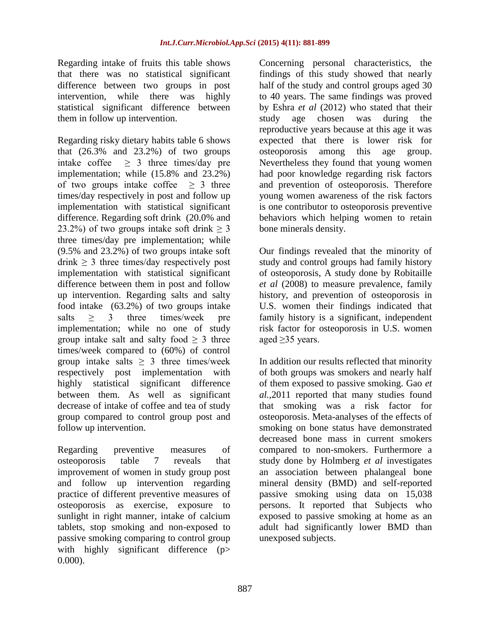Regarding intake of fruits this table shows that there was no statistical significant difference between two groups in post intervention, while there was highly statistical significant difference between them in follow up intervention.

Regarding risky dietary habits table 6 shows that  $(26.3\%$  and  $23.2\%)$  of two groups intake coffee  $\geq$  3 three times/day pre implementation; while (15.8% and 23.2%) of two groups intake coffee  $\geq$  3 three times/day respectively in post and follow up implementation with statistical significant difference. Regarding soft drink (20.0% and 23.2%) of two groups intake soft drink  $\geq$  3 three times/day pre implementation; while (9.5% and 23.2%) of two groups intake soft drink  $\geq$  3 three times/day respectively post implementation with statistical significant difference between them in post and follow up intervention. Regarding salts and salty food intake (63.2%) of two groups intake salts  $\geq$  3 three times/week pre implementation; while no one of study group intake salt and salty food  $> 3$  three times/week compared to (60%) of control group intake salts  $\geq$  3 three times/week respectively post implementation with highly statistical significant difference between them. As well as significant decrease of intake of coffee and tea of study group compared to control group post and follow up intervention.

Regarding preventive measures of osteoporosis table 7 reveals that improvement of women in study group post and follow up intervention regarding practice of different preventive measures of osteoporosis as exercise, exposure to sunlight in right manner, intake of calcium tablets, stop smoking and non-exposed to passive smoking comparing to control group with highly significant difference (p> 0.000).

Concerning personal characteristics, the findings of this study showed that nearly half of the study and control groups aged 30 to 40 years. The same findings was proved by Eshra *et al* (2012) who stated that their study age chosen was during the reproductive years because at this age it was expected that there is lower risk for osteoporosis among this age group. Nevertheless they found that young women had poor knowledge regarding risk factors and prevention of osteoporosis. Therefore young women awareness of the risk factors is one contributor to osteoporosis preventive behaviors which helping women to retain bone minerals density.

Our findings revealed that the minority of study and control groups had family history of osteoporosis, A study done by Robitaille *et al* (2008) to measure prevalence, family history, and prevention of osteoporosis in U.S. women their findings indicated that family history is a significant, independent risk factor for osteoporosis in U.S. women aged ≥35 years.

In addition our results reflected that minority of both groups was smokers and nearly half of them exposed to passive smoking. Gao *et al.,*2011 reported that many studies found that smoking was a risk factor for osteoporosis. Meta-analyses of the effects of smoking on bone status have demonstrated decreased bone mass in current smokers compared to non-smokers. Furthermore a study done by Holmberg *et al* investigates an association between phalangeal bone mineral density (BMD) and self-reported passive smoking using data on 15,038 persons. It reported that Subjects who exposed to passive smoking at home as an adult had significantly lower BMD than unexposed subjects.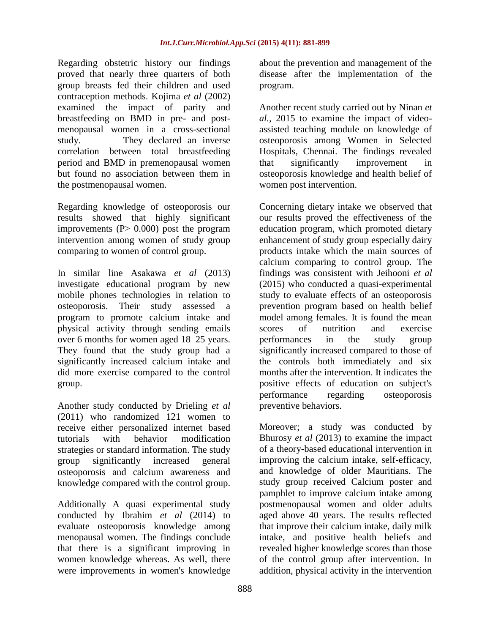Regarding obstetric history our findings proved that nearly three quarters of both group breasts fed their children and used contraception methods. Kojima *et al* (2002) examined the impact of parity and breastfeeding on BMD in pre- and postmenopausal women in a cross-sectional study. They declared an inverse correlation between total breastfeeding period and BMD in premenopausal women but found no association between them in the postmenopausal women.

Regarding knowledge of osteoporosis our results showed that highly significant improvements  $(P> 0.000)$  post the program intervention among women of study group comparing to women of control group.

In similar line Asakawa *et al* (2013) investigate educational program by new mobile phones technologies in relation to osteoporosis. Their study assessed a program to promote calcium intake and physical activity through sending emails over 6 months for women aged 18–25 years. They found that the study group had a significantly increased calcium intake and did more exercise compared to the control group.

Another study conducted by Drieling *et al* (2011) who randomized 121 women to receive either personalized internet based tutorials with behavior modification strategies or standard information. The study group significantly increased general osteoporosis and calcium awareness and knowledge compared with the control group.

Additionally A quasi experimental study conducted by Ibrahim *et al* (2014) to evaluate osteoporosis knowledge among menopausal women. The findings conclude that there is a significant improving in women knowledge whereas. As well, there were improvements in women's knowledge

about the prevention and management of the disease after the implementation of the program.

Another recent study carried out by Ninan *et al.,* 2015 to examine the impact of videoassisted teaching module on knowledge of osteoporosis among Women in Selected Hospitals, Chennai. The findings revealed that significantly improvement in osteoporosis knowledge and health belief of women post intervention.

Concerning dietary intake we observed that our results proved the effectiveness of the education program, which promoted dietary enhancement of study group especially dairy products intake which the main sources of calcium comparing to control group. The findings was consistent with Jeihooni *et al* (2015) who conducted a quasi-experimental study to evaluate effects of an osteoporosis prevention program based on health belief model among females. It is found the mean scores of nutrition and exercise performances in the study group significantly increased compared to those of the controls both immediately and six months after the intervention. It indicates the positive effects of education on subject's performance regarding osteoporosis preventive behaviors.

Moreover; a study was conducted by Bhurosy *et al* (2013) to examine the impact of a theory-based educational intervention in improving the calcium intake, self-efficacy, and knowledge of older Mauritians. The study group received Calcium poster and pamphlet to improve calcium intake among postmenopausal women and older adults aged above 40 years. The results reflected that improve their calcium intake, daily milk intake, and positive health beliefs and revealed higher knowledge scores than those of the control group after intervention. In addition, physical activity in the intervention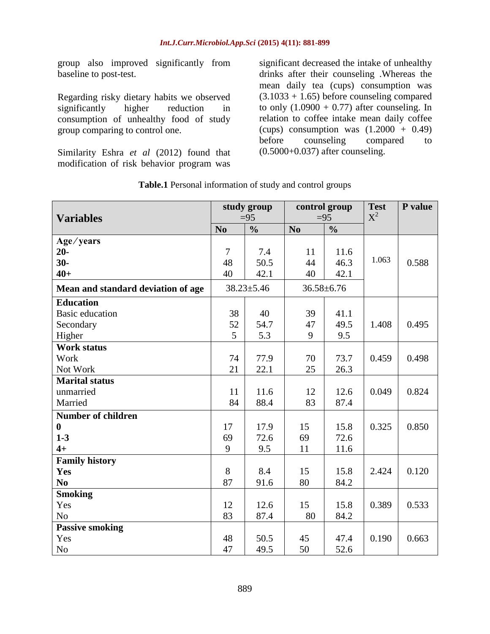group also improved significantly from baseline to post-test.

Regarding risky dietary habits we observed significantly higher reduction in consumption of unhealthy food of study group comparing to control one.

Similarity Eshra *et al* (2012) found that modification of risk behavior program was

significant decreased the intake of unhealthy drinks after their counseling .Whereas the mean daily tea (cups) consumption was  $(3.1033 + 1.65)$  before counseling compared to only  $(1.0900 + 0.77)$  after counseling. In relation to coffee intake mean daily coffee (cups) consumption was  $(1.2000 + 0.49)$ before counseling compared to (0.5000+0.037) after counseling.

| <b>Variables</b>                   |                | study group<br>$=95$ |                | control group<br>$=95$ | <b>Test</b><br>$X^2$ | P value |
|------------------------------------|----------------|----------------------|----------------|------------------------|----------------------|---------|
|                                    | N <sub>0</sub> | $\frac{0}{0}$        | N <sub>0</sub> | $\frac{0}{0}$          |                      |         |
| Age/years                          |                |                      |                |                        |                      |         |
| $20-$                              | $\overline{7}$ | 7.4                  | 11             | 11.6                   |                      |         |
| $30-$                              | 48             | 50.5                 | 44             | 46.3                   | 1.063                | 0.588   |
| $40+$                              | 40             | 42.1                 | 40             | 42.1                   |                      |         |
| Mean and standard deviation of age |                | $38.23 \pm 5.46$     |                | $36.58 \pm 6.76$       |                      |         |
| <b>Education</b>                   |                |                      |                |                        |                      |         |
| <b>Basic education</b>             | 38             | 40                   | 39             | 41.1                   |                      |         |
| Secondary                          | 52             | 54.7                 | 47             | 49.5                   | 1.408                | 0.495   |
| Higher                             | 5              | 5.3                  | 9              | 9.5                    |                      |         |
| <b>Work status</b>                 |                |                      |                |                        |                      |         |
| Work                               | 74             | 77.9                 | 70             | 73.7                   | 0.459                | 0.498   |
| Not Work                           | 21             | 22.1                 | 25             | 26.3                   |                      |         |
| <b>Marital status</b>              |                |                      |                |                        |                      |         |
| unmarried                          | 11             | 11.6                 | 12             | 12.6                   | 0.049                | 0.824   |
| Married                            | 84             | 88.4                 | 83             | 87.4                   |                      |         |
| <b>Number of children</b>          |                |                      |                |                        |                      |         |
| $\bf{0}$                           | 17             | 17.9                 | 15             | 15.8                   | 0.325                | 0.850   |
| $1 - 3$                            | 69             | 72.6                 | 69             | 72.6                   |                      |         |
| $4+$                               | 9              | 9.5                  | 11             | 11.6                   |                      |         |
| <b>Family history</b>              |                |                      |                |                        |                      |         |
| Yes                                | 8              | 8.4                  | 15             | 15.8                   | 2.424                | 0.120   |
| N <sub>0</sub>                     | 87             | 91.6                 | 80             | 84.2                   |                      |         |
| <b>Smoking</b>                     |                |                      |                |                        |                      |         |
| Yes                                | 12             | 12.6                 | 15             | 15.8                   | 0.389                | 0.533   |
| N <sub>o</sub>                     | 83             | 87.4                 | 80             | 84.2                   |                      |         |
| <b>Passive smoking</b>             |                |                      |                |                        |                      |         |
| Yes                                | 48             | 50.5                 | 45             | 47.4                   | 0.190                | 0.663   |
| N <sub>0</sub>                     | 47             | 49.5                 | 50             | 52.6                   |                      |         |

**Table.1** Personal information of study and control groups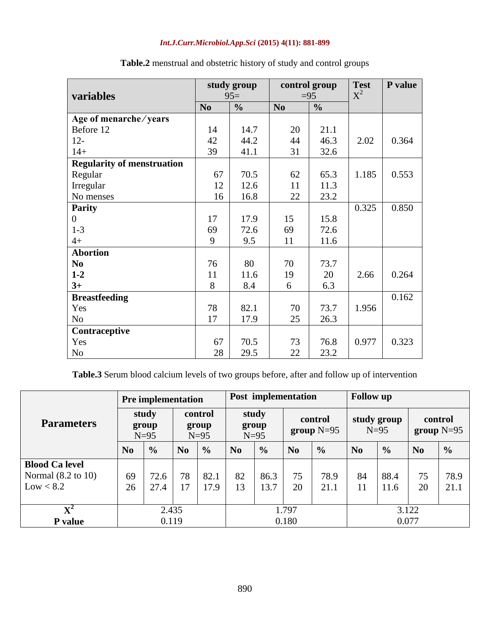| variables                         |                | study group<br>$95=$ |                | control group<br>$=95$ | <b>Test</b><br>$X^2$ | P value |
|-----------------------------------|----------------|----------------------|----------------|------------------------|----------------------|---------|
|                                   | N <sub>0</sub> | $\frac{0}{0}$        | N <sub>0</sub> | $\frac{0}{0}$          |                      |         |
| Age of menarche/years             |                |                      |                |                        |                      |         |
| Before 12                         | 14             | 14.7                 | 20             | 21.1                   |                      |         |
| $12 -$                            | 42             | 44.2                 | 44             | 46.3                   | 2.02                 | 0.364   |
| $14+$                             | 39             | 41.1                 | 31             | 32.6                   |                      |         |
| <b>Regularity of menstruation</b> |                |                      |                |                        |                      |         |
| Regular                           | 67             | 70.5                 | 62             | 65.3                   | 1.185                | 0.553   |
| Irregular                         | 12             | 12.6                 | 11             | 11.3                   |                      |         |
| No menses                         | 16             | 16.8                 | 22             | 23.2                   |                      |         |
| <b>Parity</b>                     |                |                      |                |                        | 0.325                | 0.850   |
| $\boldsymbol{0}$                  | 17             | 17.9                 | 15             | 15.8                   |                      |         |
| $1-3$                             | 69             | 72.6                 | 69             | 72.6                   |                      |         |
| $4+$                              | 9              | 9.5                  | 11             | 11.6                   |                      |         |
| <b>Abortion</b>                   |                |                      |                |                        |                      |         |
| N <sub>0</sub>                    | 76             | 80                   | 70             | 73.7                   |                      |         |
| $1 - 2$                           | 11             | 11.6                 | 19             | 20                     | 2.66                 | 0.264   |
| $3+$                              | 8              | 8.4                  | 6              | 6.3                    |                      |         |
| <b>Breastfeeding</b>              |                |                      |                |                        |                      | 0.162   |
| Yes                               | 78             | 82.1                 | 70             | 73.7                   | 1.956                |         |
| N <sub>o</sub>                    | 17             | 17.9                 | 25             | 26.3                   |                      |         |
| Contraceptive                     |                |                      |                |                        |                      |         |
| Yes                               | 67             | 70.5                 | 73             | 76.8                   | 0.977                | 0.323   |
| N <sub>0</sub>                    | 28             | 29.5                 | 22             | 23.2                   |                      |         |

# **Table.2** menstrual and obstetric history of study and control groups

**Table.3** Serum blood calcium levels of two groups before, after and follow up of intervention

|                               |                          | <b>Pre implementation</b> |                            |               |                          | Post implementation |                         |               | <b>Follow</b> up      |               |                         |               |  |
|-------------------------------|--------------------------|---------------------------|----------------------------|---------------|--------------------------|---------------------|-------------------------|---------------|-----------------------|---------------|-------------------------|---------------|--|
| <b>Parameters</b>             | study<br>group<br>$N=95$ |                           | control<br>group<br>$N=95$ |               | study<br>group<br>$N=95$ |                     | control<br>$group N=95$ |               | study group<br>$N=95$ |               | control<br>group $N=95$ |               |  |
|                               | N <sub>0</sub>           | $\frac{0}{0}$             | $\bf No$                   | $\frac{0}{0}$ | $\mathbf{N}\mathbf{0}$   | $\frac{0}{0}$       | N <sub>0</sub>          | $\frac{6}{6}$ | N <sub>0</sub>        | $\frac{0}{0}$ | N <sub>0</sub>          | $\frac{0}{0}$ |  |
| <b>Blood Ca level</b>         |                          |                           |                            |               |                          |                     |                         |               |                       |               |                         |               |  |
| Normal $(8.2 \text{ to } 10)$ | 69                       | 72.6                      | 78                         | 82.1          | 82                       | 86.3                | 75                      | 78.9          | 84                    | 88.4          | 75                      | 78.9          |  |
| Low < 8.2                     | 26                       | 27.4                      | 17                         | 17.9          | 13                       | 13.7                | 20                      | 21.1          | 11                    | 11.6          | 20                      | 21.1          |  |
|                               |                          |                           |                            |               |                          |                     |                         |               |                       |               |                         |               |  |
| $\mathbf{X}^2$                | 2.435                    |                           |                            |               |                          | 1.797               |                         |               |                       | 3.122         |                         |               |  |
| P value                       |                          | 0.119                     |                            |               | 0.180                    |                     |                         |               | 0.077                 |               |                         |               |  |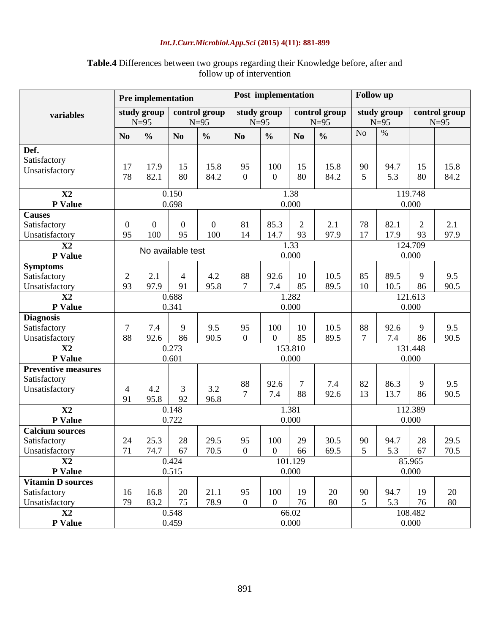|                                |                   | <b>Pre implementation</b> |                  |                         |                  | Post implementation |                |                         |                | <b>Follow</b> up      |                  |                         |  |
|--------------------------------|-------------------|---------------------------|------------------|-------------------------|------------------|---------------------|----------------|-------------------------|----------------|-----------------------|------------------|-------------------------|--|
| variables                      |                   | study group<br>$N=95$     |                  | control group<br>$N=95$ | $N=95$           | study group         |                | control group<br>$N=95$ |                | study group<br>$N=95$ |                  | control group<br>$N=95$ |  |
|                                | N <sub>0</sub>    | $\frac{0}{0}$             | N <sub>0</sub>   | $\frac{0}{0}$           | N <sub>0</sub>   | $\frac{0}{0}$       | N <sub>0</sub> | $\frac{0}{0}$           | N <sub>o</sub> | $\%$                  |                  |                         |  |
| Def.                           |                   |                           |                  |                         |                  |                     |                |                         |                |                       |                  |                         |  |
| Satisfactory                   | 17                | 17.9                      | 15               | 15.8                    | 95               | 100                 | 15             | 15.8                    | 90             | 94.7                  | 15               | 15.8                    |  |
| Unsatisfactory                 | 78                | 82.1                      | 80               | 84.2                    | $\overline{0}$   | $\boldsymbol{0}$    | 80             | 84.2                    | 5              | 5.3                   | 80               | 84.2                    |  |
| X2                             | 0.150             |                           |                  |                         |                  |                     | 1.38           |                         |                |                       | 119.748          |                         |  |
| P Value                        |                   |                           | 0.698            |                         |                  |                     | 0.000          |                         |                |                       | 0.000            |                         |  |
| <b>Causes</b>                  |                   |                           |                  |                         |                  |                     |                |                         |                |                       |                  |                         |  |
| Satisfactory                   | $\overline{0}$    | $\overline{0}$            | $\boldsymbol{0}$ | $\boldsymbol{0}$        | 81               | 85.3                | $\overline{2}$ | 2.1                     | 78             | 82.1                  | $\overline{2}$   | 2.1                     |  |
| Unsatisfactory                 | 95                | 100                       | 95               | 100                     | 14               | 14.7                | 93             | 97.9                    | 17             | 17.9                  | 93               | 97.9                    |  |
| X <sub>2</sub><br>P Value      | No available test |                           |                  |                         |                  |                     | 1.33<br>0.000  |                         |                |                       | 124.709<br>0.000 |                         |  |
| <b>Symptoms</b>                |                   |                           |                  |                         |                  |                     |                |                         |                |                       |                  |                         |  |
| Satisfactory                   | $\overline{2}$    | 2.1                       | $\overline{4}$   | 4.2                     | 88               | 92.6                | 10             | 10.5                    | 85             | 89.5                  | 9                | 9.5                     |  |
| Unsatisfactory                 | 93                | 97.9                      | 91               | 95.8                    | 7                | 7.4                 | 85             | 89.5                    | 10             | 10.5                  | 86               | 90.5                    |  |
| X2                             | 0.688             |                           |                  |                         |                  |                     | 1.282          |                         |                |                       | 121.613          |                         |  |
| <b>P</b> Value                 |                   |                           | 0.341            |                         |                  |                     | 0.000          |                         |                |                       | 0.000            |                         |  |
| <b>Diagnosis</b>               |                   |                           |                  |                         |                  |                     |                |                         |                |                       |                  |                         |  |
| Satisfactory                   | $\tau$            | 7.4                       | 9                | 9.5                     | 95               | 100                 | 10             | 10.5                    | 88             | 92.6                  | 9                | 9.5                     |  |
| Unsatisfactory                 | 88                | 92.6                      | 86               | 90.5                    | $\overline{0}$   | $\boldsymbol{0}$    | 85             | 89.5                    | $\overline{7}$ | 7.4                   | 86               | 90.5                    |  |
| X <sub>2</sub>                 |                   |                           | 0.273            |                         |                  |                     | 153.810        |                         | 131.448        |                       |                  |                         |  |
| P Value                        |                   |                           | 0.601            |                         | 0.000            |                     |                |                         | 0.000          |                       |                  |                         |  |
| <b>Preventive measures</b>     |                   |                           |                  |                         |                  |                     |                |                         |                |                       |                  |                         |  |
| Satisfactory<br>Unsatisfactory | $\overline{4}$    | 4.2                       | 3                | 3.2                     | 88               | 92.6                | $\overline{7}$ | 7.4                     | 82             | 86.3                  | 9                | 9.5                     |  |
|                                | 91                | 95.8                      | 92               | 96.8                    | $\overline{7}$   | 7.4                 | 88             | 92.6                    | 13             | 13.7                  | 86               | 90.5                    |  |
| $\mathbf{X}2$                  |                   |                           | 0.148            |                         |                  |                     | 1.381          |                         |                |                       | 112.389          |                         |  |
| P Value                        |                   |                           | 0.722            |                         |                  |                     | 0.000          |                         |                |                       | 0.000            |                         |  |
| <b>Calcium sources</b>         |                   |                           |                  |                         |                  |                     |                |                         |                |                       |                  |                         |  |
| Satisfactory                   | 24                | 25.3                      | 28               | 29.5                    | 95               | 100                 | 29             | 30.5                    | 90             | 94.7                  | 28               | 29.5                    |  |
| Unsatisfactory                 | 71                | 74.7                      | 67               | 70.5                    | $\boldsymbol{0}$ | $\boldsymbol{0}$    | 66             | 69.5                    | 5              | 5.3                   | 67               | 70.5                    |  |
| X2                             |                   |                           | 0.424            |                         |                  |                     | 101.129        |                         |                |                       | 85.965           |                         |  |
| P Value                        |                   |                           | 0.515            |                         |                  |                     | 0.000          |                         |                |                       | 0.000            |                         |  |
| <b>Vitamin D sources</b>       |                   |                           |                  |                         |                  |                     |                |                         |                |                       |                  |                         |  |
| Satisfactory                   | 16                | 16.8                      | 20               | 21.1                    | 95               | 100                 | 19             | 20                      | 90             | 94.7                  | 19               | 20                      |  |
| Unsatisfactory                 | 79                | 83.2                      | 75               | 78.9                    | $\boldsymbol{0}$ | $\overline{0}$      | 76             | 80                      | 5              | 5.3                   | 76               | 80                      |  |
| X2                             |                   |                           | 0.548            |                         |                  |                     | 66.02          |                         |                |                       | 108.482          |                         |  |
| P Value                        |                   |                           | 0.459            |                         |                  |                     | 0.000          |                         |                |                       | 0.000            |                         |  |

### **Table.4** Differences between two groups regarding their Knowledge before, after and follow up of intervention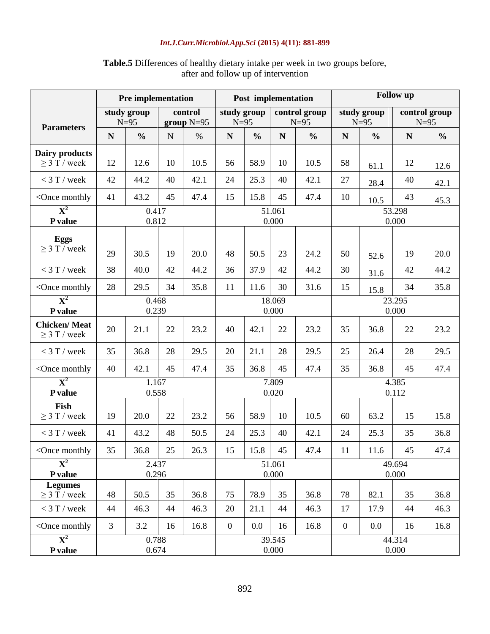|                                                                                                                                                                                                                                                                    |                | <b>Pre implementation</b> |             |                         | <b>Follow</b> up<br>Post implementation |                 |                 |                         |                 |                       |                         |               |
|--------------------------------------------------------------------------------------------------------------------------------------------------------------------------------------------------------------------------------------------------------------------|----------------|---------------------------|-------------|-------------------------|-----------------------------------------|-----------------|-----------------|-------------------------|-----------------|-----------------------|-------------------------|---------------|
|                                                                                                                                                                                                                                                                    |                | study group<br>$N=95$     |             | control<br>group $N=95$ | study group<br>$N=95$                   |                 |                 | control group<br>$N=95$ |                 | study group<br>$N=95$ | control group<br>$N=95$ |               |
| <b>Parameters</b>                                                                                                                                                                                                                                                  | N              | $\frac{0}{0}$             | $\mathbf N$ | $\%$                    | $\mathbf N$                             | $\frac{0}{0}$   | N               | $\frac{0}{0}$           | N               | $\frac{0}{0}$         | N                       | $\frac{0}{0}$ |
| Dairy products<br>$\geq$ 3 T / week                                                                                                                                                                                                                                | 12             | 12.6                      | 10          | 10.5                    | 56                                      | 58.9            | 10              | 10.5                    | 58              | 61.1                  | 12                      | 12.6          |
| $<$ 3 T / week                                                                                                                                                                                                                                                     | 42             | 44.2                      | 40          | 42.1                    | 24                                      | 25.3            | 40              | 42.1                    | 27              | 28.4                  | 40                      | 42.1          |
| <once monthly<="" td=""><td>41</td><td>43.2</td><td>45</td><td>47.4</td><td>15</td><td>15.8</td><td>45</td><td>47.4</td><td>10</td><td>10.5</td><td>43</td><td>45.3</td></once>                                                                                    | 41             | 43.2                      | 45          | 47.4                    | 15                                      | 15.8            | 45              | 47.4                    | 10              | 10.5                  | 43                      | 45.3          |
| ${\bf X}^2$<br>P value                                                                                                                                                                                                                                             |                | 0.417<br>0.812            |             |                         |                                         |                 | 51.061<br>0.000 |                         |                 |                       | 53.298<br>0.000         |               |
| <b>Eggs</b><br>$\geq$ 3 T / week                                                                                                                                                                                                                                   | 29             | 30.5                      | 19          | 20.0                    | 48                                      | 50.5            | 23              | 24.2                    | 50              | 52.6                  | 19                      | 20.0          |
| $<$ 3 T / week                                                                                                                                                                                                                                                     | 38             | 40.0                      | 42          | 44.2                    | 36                                      | 37.9            | 42              | 44.2                    | 30              | 31.6                  | 42                      | 44.2          |
| <once monthly<="" td=""><td>28</td><td>29.5</td><td>34</td><td>35.8</td><td>11</td><td>11.6</td><td>30</td><td>31.6</td><td>15</td><td>15.8</td><td>34</td><td>35.8</td></once>                                                                                    | 28             | 29.5                      | 34          | 35.8                    | 11                                      | 11.6            | 30              | 31.6                    | 15              | 15.8                  | 34                      | 35.8          |
| ${\bf X}^2$<br>P value                                                                                                                                                                                                                                             |                | 0.468<br>0.239            |             |                         |                                         | 18.069<br>0.000 |                 | 23.295<br>0.000         |                 |                       |                         |               |
| <b>Chicken/Meat</b><br>$\geq$ 3 T / week                                                                                                                                                                                                                           | 20             | 21.1                      | 22          | 23.2                    | 40                                      | 42.1            | 22              | 23.2                    | 35              | 36.8                  | 22                      | 23.2          |
| $<$ 3 T / week                                                                                                                                                                                                                                                     | 35             | 36.8                      | 28          | 29.5                    | 20                                      | 21.1            | 28              | 29.5                    | 25              | 26.4                  | 28                      | 29.5          |
| <once monthly<="" td=""><td>40</td><td>42.1</td><td>45</td><td>47.4</td><td>35</td><td>36.8</td><td>45</td><td>47.4</td><td>35</td><td>36.8</td><td>45</td><td>47.4</td></once>                                                                                    | 40             | 42.1                      | 45          | 47.4                    | 35                                      | 36.8            | 45              | 47.4                    | 35              | 36.8                  | 45                      | 47.4          |
| $\mathbf{X}^2$<br>P value                                                                                                                                                                                                                                          |                | 1.167<br>0.558            |             |                         |                                         |                 | 7.809<br>0.020  |                         |                 |                       | 4.385<br>0.112          |               |
| Fish<br>$\geq$ 3 T / week                                                                                                                                                                                                                                          | 19             | 20.0                      | 22          | 23.2                    | 56                                      | 58.9            | 10              | 10.5                    | 60              | 63.2                  | 15                      | 15.8          |
| $<$ 3 T / week                                                                                                                                                                                                                                                     | 41             | 43.2                      | 48          | 50.5                    | 24                                      | 25.3            | 40              | 42.1                    | 24              | 25.3                  | 35                      | 36.8          |
| <once monthly<="" td=""><td>35</td><td>36.8</td><td>25</td><td>26.3</td><td>15</td><td>15.8</td><td>45</td><td>47.4</td><td>11</td><td>11.6</td><td>45</td><td>47.4</td></once>                                                                                    | 35             | 36.8                      | 25          | 26.3                    | 15                                      | 15.8            | 45              | 47.4                    | 11              | 11.6                  | 45                      | 47.4          |
| $\mathbf{X}^2$<br>P value                                                                                                                                                                                                                                          |                | 2.437<br>0.296            |             |                         |                                         |                 | 51.061<br>0.000 |                         |                 |                       | 49.694<br>0.000         |               |
| <b>Legumes</b><br>$\geq$ 3 T / week                                                                                                                                                                                                                                | 48             | 50.5                      | 35          | 36.8                    | 75                                      | 78.9            | 35              | 36.8                    | 78              | 82.1                  | 35                      | 36.8          |
| $<$ 3 T / week                                                                                                                                                                                                                                                     | 44             | 46.3                      | 44          | 46.3                    | 20                                      | 21.1            | 44              | 46.3                    | 17              | 17.9                  | 44                      | 46.3          |
| <once monthly<="" td=""><td><math>\overline{3}</math></td><td>3.2</td><td>16</td><td>16.8</td><td><math>\boldsymbol{0}</math></td><td><math>0.0\,</math></td><td>16</td><td>16.8</td><td><math>\overline{0}</math></td><td>0.0</td><td>16</td><td>16.8</td></once> | $\overline{3}$ | 3.2                       | 16          | 16.8                    | $\boldsymbol{0}$                        | $0.0\,$         | 16              | 16.8                    | $\overline{0}$  | 0.0                   | 16                      | 16.8          |
| ${\bf X}^2$<br>P value                                                                                                                                                                                                                                             |                | 0.788<br>0.674            |             |                         |                                         |                 | 39.545<br>0.000 |                         | 44.314<br>0.000 |                       |                         |               |

## **Table.5** Differences of healthy dietary intake per week in two groups before, after and follow up of intervention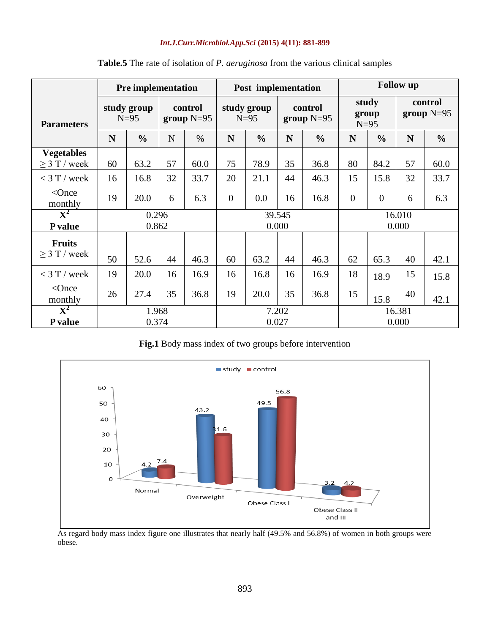|                                             |                       | <b>Pre implementation</b> |                         |      |          | Post implementation   |                 |                         | <b>Follow</b> up |                          |                         |               |
|---------------------------------------------|-----------------------|---------------------------|-------------------------|------|----------|-----------------------|-----------------|-------------------------|------------------|--------------------------|-------------------------|---------------|
| <b>Parameters</b>                           | study group<br>$N=95$ |                           | control<br>group $N=95$ |      |          | study group<br>$N=95$ |                 | control<br>group $N=95$ |                  | study<br>group<br>$N=95$ | control<br>group $N=95$ |               |
|                                             | N                     | $\frac{0}{0}$             | N                       | $\%$ | N        | $\frac{6}{6}$         | N               | $\frac{0}{0}$           | N                | $\frac{0}{0}$            | N                       | $\frac{0}{0}$ |
| <b>Vegetables</b><br>$\geq$ 3 T / week      | 60                    | 63.2                      | 57                      | 60.0 | 75       | 78.9                  | 35              | 36.8                    | 80               | 84.2                     | 57                      | 60.0          |
| $<$ 3 T / week                              | 16                    | 16.8                      | 32                      | 33.7 | 20       | 21.1                  | 44              | 46.3                    | 15               | 15.8                     | 32                      | 33.7          |
| $<$ Once<br>monthly                         | 19                    | 20.0                      | 6                       | 6.3  | $\Omega$ | 0.0                   | 16              | 16.8                    | $\overline{0}$   | $\overline{0}$           | 6                       | 6.3           |
| $\overline{\textbf{X}^2}$<br><b>P</b> value |                       | 0.296<br>0.862            |                         |      |          |                       | 39.545<br>0.000 |                         | 16.010<br>0.000  |                          |                         |               |
| <b>Fruits</b><br>$>$ 3 T / week             | 50                    | 52.6                      | 44                      | 46.3 | 60       | 63.2                  | 44              | 46.3                    | 62               | 65.3                     | 40                      | 42.1          |
| $<$ 3 T / week                              | 19                    | 20.0                      | 16                      | 16.9 | 16       | 16.8                  | 16              | 16.9                    | 18               | 18.9                     | 15                      | 15.8          |
| $<$ Once<br>monthly                         | 26                    | 27.4                      | 35                      | 36.8 | 19       | 20.0                  | 35              | 36.8                    | 15               | 15.8                     | 40                      | 42.1          |
| $\overline{\mathbf{X}^2}$<br>P value        |                       | 1.968<br>0.374            |                         |      |          | 0.027                 | 7.202           |                         | 16.381<br>0.000  |                          |                         |               |

### **Table.5** The rate of isolation of *P. aeruginosa* from the various clinical samples

**Fig.1** Body mass index of two groups before intervention



As regard body mass index figure one illustrates that nearly half (49.5% and 56.8%) of women in both groups were obese.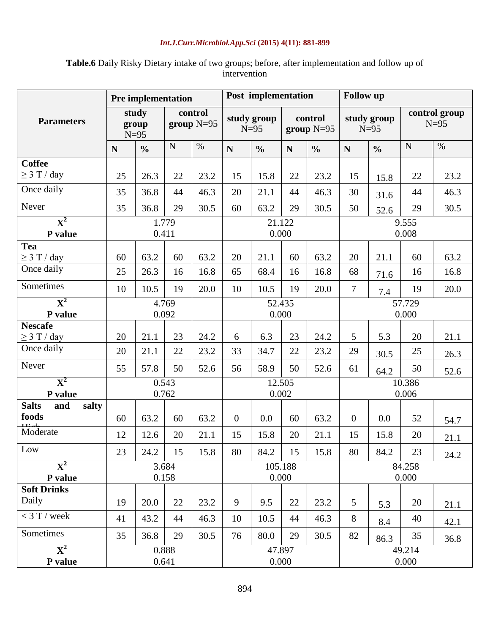## **Table.6** Daily Risky Dietary intake of two groups; before, after implementation and follow up of intervention

|                                |             | <b>Pre implementation</b> |       |                         |                  | Post implementation   |         |                         | <b>Follow up</b> |                       |             |                         |
|--------------------------------|-------------|---------------------------|-------|-------------------------|------------------|-----------------------|---------|-------------------------|------------------|-----------------------|-------------|-------------------------|
| <b>Parameters</b>              |             | study<br>group<br>$N=95$  |       | control<br>group $N=95$ |                  | study group<br>$N=95$ |         | control<br>group $N=95$ |                  | study group<br>$N=95$ |             | control group<br>$N=95$ |
|                                | $\mathbf N$ | $\frac{0}{0}$             | N     | $\%$                    | N                | $\frac{0}{0}$         | N       | $\frac{0}{0}$           | $\mathbf N$      | $\frac{0}{0}$         | $\mathbf N$ | $\%$                    |
| <b>Coffee</b>                  |             |                           |       |                         |                  |                       |         |                         |                  |                       |             |                         |
| $\geq$ 3 T / day               | 25          | 26.3                      | 22    | 23.2                    | 15               | 15.8                  | 22      | 23.2                    | 15               | 15.8                  | 22          | 23.2                    |
| Once daily                     | 35          | 36.8                      | 44    | 46.3                    | 20               | 21.1                  | 44      | 46.3                    | 30               | 31.6                  | 44          | 46.3                    |
| Never                          | 35          | 36.8                      | 29    | 30.5                    | 60               | 63.2                  | 29      | 30.5                    | 50               | 52.6                  | 29          | 30.5                    |
| $\overline{\mathbf{X}^2}$      | 1.779       |                           |       |                         |                  |                       | 21.122  |                         |                  |                       | 9.555       |                         |
| P value                        |             | 0.411                     |       |                         |                  | 0.000                 |         |                         |                  |                       | 0.008       |                         |
| <b>Tea</b><br>$\geq$ 3 T / day | 60          | 63.2                      | 60    | 63.2                    | 20               | 21.1                  | 60      | 63.2                    | 20               | 21.1                  | 60          | 63.2                    |
| Once daily                     | 25          | 26.3                      | 16    | 16.8                    | 65               | 68.4                  | 16      | 16.8                    | 68               |                       | 16          | 16.8                    |
| Sometimes                      |             |                           |       |                         |                  |                       |         |                         |                  | 71.6                  |             |                         |
|                                | 10          | 10.5                      | 19    | 20.0                    | 10               | 10.5                  | 19      | 20.0                    | $\overline{7}$   | 7.4                   | 19          | 20.0                    |
| ${\bf X}^2$                    |             |                           | 4.769 |                         |                  |                       | 52.435  |                         |                  |                       | 57.729      |                         |
| P value<br><b>Nescafe</b>      |             |                           | 0.092 |                         |                  | 0.000                 |         |                         |                  |                       | 0.000       |                         |
| $\geq$ 3 T / day               | 20          | 21.1                      | 23    | 24.2                    | 6                | 6.3                   | 23      | 24.2                    | 5                | 5.3                   | 20          | 21.1                    |
| Once daily                     | 20          | 21.1                      | 22    | 23.2                    | 33               | 34.7                  | 22      | 23.2                    | 29               | 30.5                  | 25          | 26.3                    |
| Never                          | 55          | 57.8                      | 50    | 52.6                    | 56               | 58.9                  | 50      | 52.6                    | 61               | 64.2                  | 50          | 52.6                    |
| ${\bf X}^2$                    |             |                           | 0.543 |                         | 12.505           |                       |         |                         | 10.386           |                       |             |                         |
| P value                        |             |                           | 0.762 |                         |                  | 0.002                 |         |                         |                  |                       | 0.006       |                         |
| <b>Salts</b><br>and<br>salty   |             |                           |       |                         |                  |                       |         |                         |                  |                       |             |                         |
| foods                          | 60          | 63.2                      | 60    | 63.2                    | $\boldsymbol{0}$ | 0.0                   | 60      | 63.2                    | $\overline{0}$   | 0.0                   | 52          | 54.7                    |
| Moderate                       | 12          | 12.6                      | 20    | 21.1                    | 15               | 15.8                  | 20      | 21.1                    | 15               | 15.8                  | 20          | 21.1                    |
| Low                            | 23          | 24.2                      | 15    | 15.8                    | 80               | 84.2                  | 15      | 15.8                    | 80               | 84.2                  | 23          | 24.2                    |
| $\mathbf{X}^2$                 |             |                           | 3.684 |                         |                  |                       | 105.188 |                         |                  |                       | 84.258      |                         |
| P value                        |             |                           | 0.158 |                         |                  |                       | 0.000   |                         |                  |                       | 0.000       |                         |
| <b>Soft Drinks</b>             |             |                           |       |                         |                  |                       |         |                         |                  |                       |             |                         |
| Daily                          | 19          | 20.0                      | 22    | 23.2                    | 9                | 9.5                   | 22      | 23.2                    | 5                | 5.3                   | 20          | 21.1                    |
| $<$ 3 T / week                 | 41          | 43.2                      | 44    | 46.3                    | 10               | 10.5                  | 44      | 46.3                    | 8                | 8.4                   | 40          | 42.1                    |
| Sometimes                      | 35          | 36.8                      | 29    | 30.5                    | 76               | 80.0                  | 29      | 30.5                    | 82               | 86.3                  | 35          | 36.8                    |
| $\overline{\mathbf{X}^2}$      |             |                           | 0.888 |                         |                  |                       | 47.897  |                         |                  |                       | 49.214      |                         |
| P value                        |             |                           | 0.641 |                         |                  |                       | 0.000   |                         |                  |                       | 0.000       |                         |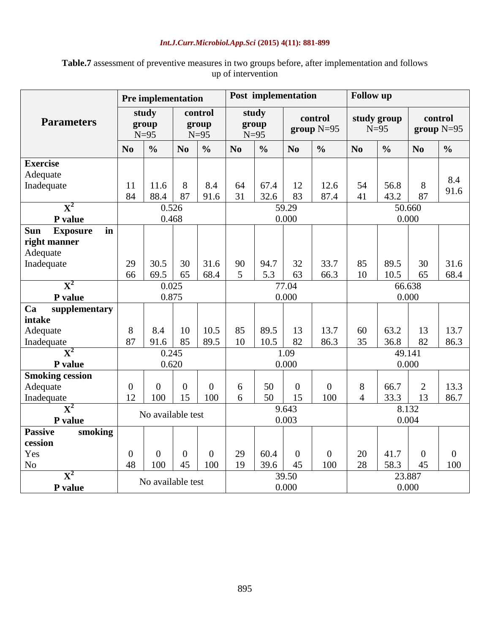| <b>Table.7</b> assessment of preventive measures in two groups before, after implementation and follows |                    |  |  |
|---------------------------------------------------------------------------------------------------------|--------------------|--|--|
|                                                                                                         | up of intervention |  |  |

|                              |                          | <b>Pre implementation</b> |                            |                |      | Post implementation      |                |                         | <b>Follow</b> up      |               |                         |                |
|------------------------------|--------------------------|---------------------------|----------------------------|----------------|------|--------------------------|----------------|-------------------------|-----------------------|---------------|-------------------------|----------------|
| <b>Parameters</b>            | study<br>group<br>$N=95$ |                           | control<br>group<br>$N=95$ |                |      | study<br>group<br>$N=95$ |                | control<br>group $N=95$ | study group<br>$N=95$ |               | control<br>group $N=95$ |                |
|                              | N <sub>0</sub>           | $\frac{0}{0}$             | N <sub>o</sub>             | $\frac{0}{0}$  | No   | $\frac{0}{0}$            | N <sub>0</sub> | $\frac{0}{0}$           | N <sub>0</sub>        | $\frac{0}{0}$ | N <sub>0</sub>          | $\frac{0}{0}$  |
| <b>Exercise</b>              |                          |                           |                            |                |      |                          |                |                         |                       |               |                         |                |
| Adequate                     |                          |                           |                            |                |      |                          |                |                         |                       |               |                         | 8.4            |
| Inadequate                   | 11                       | 11.6                      | 8                          | 8.4            | 64   | 67.4                     | 12             | 12.6                    | 54                    | 56.8          | 8                       | 91.6           |
|                              | 84                       | 88.4                      | 87                         | 91.6           | 31   | 32.6                     | 83             | 87.4                    | 41                    | 43.2          | 87                      |                |
| ${\bf X}^2$                  |                          | 0.526                     |                            |                |      |                          | 59.29          |                         |                       |               | 50.660                  |                |
| P value                      |                          | 0.468                     |                            |                |      | 0.000                    |                |                         |                       |               | 0.000                   |                |
| <b>Exposure</b><br>in<br>Sun |                          |                           |                            |                |      |                          |                |                         |                       |               |                         |                |
| right manner                 |                          |                           |                            |                |      |                          |                |                         |                       |               |                         |                |
| Adequate                     |                          |                           |                            |                |      |                          |                |                         |                       |               |                         |                |
| Inadequate                   | 29                       | 30.5                      | 30                         | 31.6           | 90   | 94.7                     | 32             | 33.7                    | 85                    | 89.5          | 30                      | 31.6           |
|                              | 66                       | 69.5                      | 65                         | 68.4           | 5    | 5.3                      | 63             | 66.3                    | 10                    | 10.5          | 65                      | 68.4           |
| ${\bf X}^2$                  |                          | 0.025                     |                            |                |      |                          | 77.04          |                         |                       |               | 66.638                  |                |
| P value                      |                          | 0.875                     |                            |                |      |                          | 0.000          |                         |                       |               | 0.000                   |                |
| Ca<br>supplementary          |                          |                           |                            |                |      |                          |                |                         |                       |               |                         |                |
| intake                       |                          |                           |                            |                |      |                          |                |                         |                       |               |                         |                |
| Adequate                     | 8                        | 8.4                       | 10                         | 10.5           | 85   | 89.5                     | 13             | 13.7                    | 60                    | 63.2          | 13                      | 13.7           |
| Inadequate                   | 87                       | 91.6                      | 85                         | 89.5           | 10   | 10.5                     | 82             | 86.3                    | 35                    | 36.8          | 82                      | 86.3           |
| ${\bf X}^2$                  |                          | 0.245                     |                            |                | 1.09 |                          |                |                         | 49.141                |               |                         |                |
| P value                      |                          | 0.620                     |                            |                |      |                          | 0.000          |                         |                       |               | 0.000                   |                |
| <b>Smoking cession</b>       |                          |                           |                            |                |      |                          |                |                         |                       |               |                         |                |
| Adequate                     | $\overline{0}$           | $\overline{0}$            | $\overline{0}$             | $\overline{0}$ | 6    | 50                       | $\overline{0}$ | $\overline{0}$          | 8                     | 66.7          | $\overline{2}$          | 13.3           |
| Inadequate                   | 12                       | 100                       | 15                         | 100            | 6    | 50                       | 15             | 100                     | $\overline{4}$        | 33.3          | 13                      | 86.7           |
| $\mathbf{X}^2$               |                          | No available test         |                            |                |      |                          | 9.643          |                         |                       |               | 8.132                   |                |
| P value                      |                          |                           |                            |                |      |                          | 0.003          |                         |                       |               | 0.004                   |                |
| <b>Passive</b><br>smoking    |                          |                           |                            |                |      |                          |                |                         |                       |               |                         |                |
| cession                      |                          |                           |                            |                |      |                          |                |                         |                       |               |                         |                |
| Yes                          | $\boldsymbol{0}$         | $\overline{0}$            | $\overline{0}$             | $\overline{0}$ | 29   | 60.4                     | $\overline{0}$ | $\overline{0}$          | 20                    | 41.7          | $\overline{0}$          | $\overline{0}$ |
| N <sub>o</sub>               | 48                       | 100                       | 45                         | 100            | 19   | 39.6                     | 45             | 100                     | 28                    | 58.3          | 45                      | 100            |
| $\overline{\mathbf{X}}^2$    |                          | No available test         |                            |                |      |                          | 39.50          |                         | 23.887                |               |                         |                |
| P value                      |                          |                           |                            |                |      |                          | 0.000          |                         |                       |               | 0.000                   |                |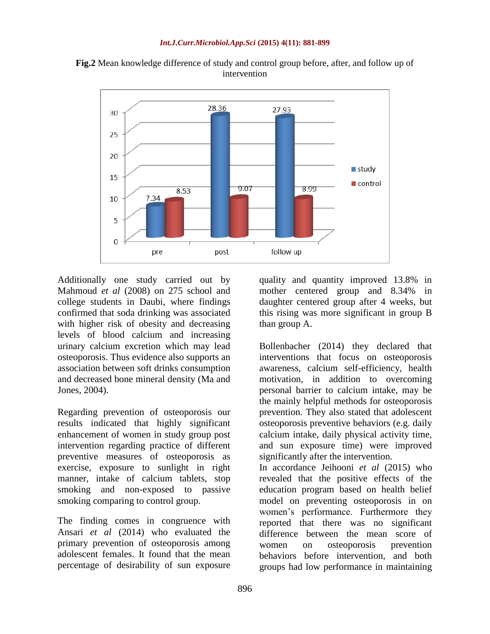

**Fig.2** Mean knowledge difference of study and control group before, after, and follow up of intervention

Additionally one study carried out by Mahmoud *et al* (2008) on 275 school and college students in Daubi, where findings confirmed that soda drinking was associated with higher risk of obesity and decreasing levels of blood calcium and increasing urinary calcium excretion which may lead osteoporosis. Thus evidence also supports an association between soft drinks consumption and decreased bone mineral density (Ma and Jones, 2004).

Regarding prevention of osteoporosis our results indicated that highly significant enhancement of women in study group post intervention regarding practice of different preventive measures of osteoporosis as exercise, exposure to sunlight in right manner, intake of calcium tablets, stop smoking and non-exposed to passive smoking comparing to control group.

The finding comes in congruence with Ansari *et al* (2014) who evaluated the primary prevention of osteoporosis among adolescent females. It found that the mean percentage of desirability of sun exposure

quality and quantity improved 13.8% in mother centered group and 8.34% in daughter centered group after 4 weeks, but this rising was more significant in group B than group A.

Bollenbacher (2014) they declared that interventions that focus on osteoporosis awareness, calcium self-efficiency, health motivation, in addition to overcoming personal barrier to calcium intake, may be the mainly helpful methods for osteoporosis prevention. They also stated that adolescent osteoporosis preventive behaviors (e.g. daily calcium intake, daily physical activity time, and sun exposure time) were improved significantly after the intervention. In accordance Jeihooni *et al* (2015) who revealed that the positive effects of the education program based on health belief

model on preventing osteoporosis in on women's performance. Furthermore they reported that there was no significant difference between the mean score of women on osteoporosis prevention behaviors before intervention, and both groups had low performance in maintaining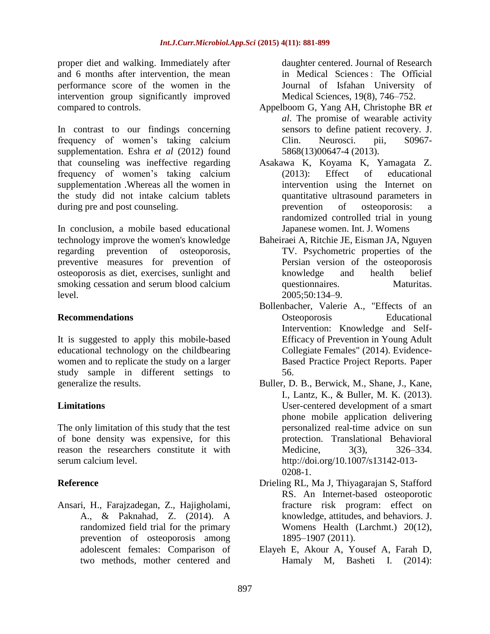proper diet and walking. Immediately after and 6 months after intervention, the mean performance score of the women in the intervention group significantly improved compared to controls.

In contrast to our findings concerning frequency of women's taking calcium supplementation. Eshra *et al* (2012) found that counseling was ineffective regarding frequency of women's taking calcium supplementation .Whereas all the women in the study did not intake calcium tablets during pre and post counseling.

In conclusion, a mobile based educational technology improve the women's knowledge regarding prevention of osteoporosis, preventive measures for prevention of osteoporosis as diet, exercises, sunlight and smoking cessation and serum blood calcium level.

#### **Recommendations**

It is suggested to apply this mobile-based educational technology on the childbearing women and to replicate the study on a larger study sample in different settings to generalize the results.

### **Limitations**

The only limitation of this study that the test of bone density was expensive, for this reason the researchers constitute it with serum calcium level.

### **Reference**

Ansari, H., Farajzadegan, Z., Hajigholami, A., & Paknahad, Z. (2014). A randomized field trial for the primary prevention of osteoporosis among adolescent females: Comparison of two methods, mother centered and

daughter centered. Journal of Research in Medical Sciences : The Official Journal of Isfahan University of Medical Sciences, 19(8), 746–752.

- Appelboom G, Yang AH, Christophe BR *et al*. The promise of wearable activity sensors to define patient recovery. J. Clin. Neurosci. pii, S0967- 5868(13)00647-4 (2013).
- Asakawa K, Koyama K, Yamagata Z. (2013): Effect of educational intervention using the Internet on quantitative ultrasound parameters in prevention of osteoporosis: a randomized controlled trial in young Japanese women. Int. J. Womens
- Baheiraei A, Ritchie JE, Eisman JA, Nguyen TV. Psychometric properties of the Persian version of the osteoporosis knowledge and health belief questionnaires. Maturitas. 2005;50:134–9.
- Bollenbacher, Valerie A., "Effects of an Osteoporosis Educational Intervention: Knowledge and Self-Efficacy of Prevention in Young Adult Collegiate Females" (2014). Evidence-Based Practice Project Reports. Paper 56.
- Buller, D. B., Berwick, M., Shane, J., Kane, I., Lantz, K., & Buller, M. K. (2013). User-centered development of a smart phone mobile application delivering personalized real-time advice on sun protection. Translational Behavioral Medicine, 3(3), 326–334. http://doi.org/10.1007/s13142-013- 0208-1.
- Drieling RL, Ma J, Thiyagarajan S, Stafford RS. An Internet-based osteoporotic fracture risk program: effect on knowledge, attitudes, and behaviors. J. Womens Health (Larchmt.) 20(12), 1895–1907 (2011).
- Elayeh E, Akour A, Yousef A, Farah D, Hamaly M, Basheti I. (2014):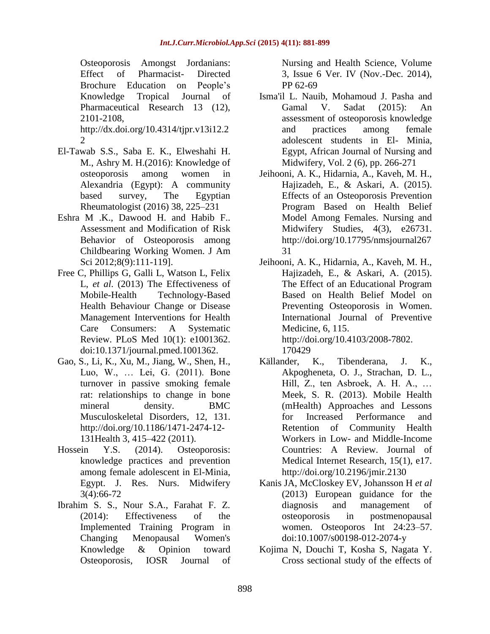Osteoporosis Amongst Jordanians: Effect of Pharmacist- Directed Brochure Education on People's Knowledge Tropical Journal of Pharmaceutical Research 13 (12), 2101-2108, http://dx.doi.org/10.4314/tjpr.v13i12.2 2

- El-Tawab S.S., Saba E. K., Elweshahi H. M., Ashry M. H.(2016): Knowledge of osteoporosis among women in Alexandria (Egypt): A community based survey, The Egyptian Rheumatologist (2016) 38, 225–231
- Eshra M .K., Dawood H. and Habib F.. Assessment and Modification of Risk Behavior of Osteoporosis among Childbearing Working Women. J Am Sci 2012;8(9):111-119].
- Free C, Phillips G, Galli L, Watson L, Felix L, *et al*. (2013) The Effectiveness of Mobile-Health Technology-Based Health Behaviour Change or Disease Management Interventions for Health Care Consumers: A Systematic Review. PLoS Med 10(1): e1001362. doi:10.1371/journal.pmed.1001362.
- Gao, S., Li, K., Xu, M., Jiang, W., Shen, H., Luo, W., … Lei, G. (2011). Bone turnover in passive smoking female rat: relationships to change in bone mineral density. BMC Musculoskeletal Disorders, 12, 131. http://doi.org/10.1186/1471-2474-12- 131Health 3, 415–422 (2011).
- Hossein Y.S. (2014). Osteoporosis: knowledge practices and prevention among female adolescent in El-Minia, Egypt. J. Res. Nurs. Midwifery 3(4):66-72
- Ibrahim S. S., Nour S.A., Farahat F. Z. (2014): Effectiveness of the Implemented Training Program in Changing Menopausal Women's Knowledge & Opinion toward Osteoporosis, IOSR Journal of

Nursing and Health Science, Volume 3, Issue 6 Ver. IV (Nov.-Dec. 2014), PP 62-69

- Isma'il L. Nauib, Mohamoud J. Pasha and Gamal V. Sadat (2015): An assessment of osteoporosis knowledge and practices among female adolescent students in El- Minia, Egypt, African Journal of Nursing and Midwifery, Vol. 2 (6), pp. 266-271
- Jeihooni, A. K., Hidarnia, A., Kaveh, M. H., Hajizadeh, E., & Askari, A. (2015). Effects of an Osteoporosis Prevention Program Based on Health Belief Model Among Females. Nursing and Midwifery Studies, 4(3), e26731. http://doi.org/10.17795/nmsjournal267 31
- Jeihooni, A. K., Hidarnia, A., Kaveh, M. H., Hajizadeh, E., & Askari, A. (2015). The Effect of an Educational Program Based on Health Belief Model on Preventing Osteoporosis in Women. International Journal of Preventive Medicine, 6, 115. [http://doi.org/10.4103/2008-7802.](http://doi.org/10.4103/2008-7802) 170429
- Källander, K., Tibenderana, J. K., Akpogheneta, O. J., Strachan, D. L., Hill, Z., ten Asbroek, A. H. A., … Meek, S. R. (2013). Mobile Health (mHealth) Approaches and Lessons for Increased Performance and Retention of Community Health Workers in Low- and Middle-Income Countries: A Review. Journal of Medical Internet Research, 15(1), e17. <http://doi.org/10.2196/jmir.2130>
- Kanis JA, McCloskey EV, Johansson H *et al* (2013) European guidance for the diagnosis and management of osteoporosis in postmenopausal women. Osteoporos Int 24:23–57. doi:10.1007/s00198-012-2074-y
- Kojima N, Douchi T, Kosha S, Nagata Y. Cross sectional study of the effects of